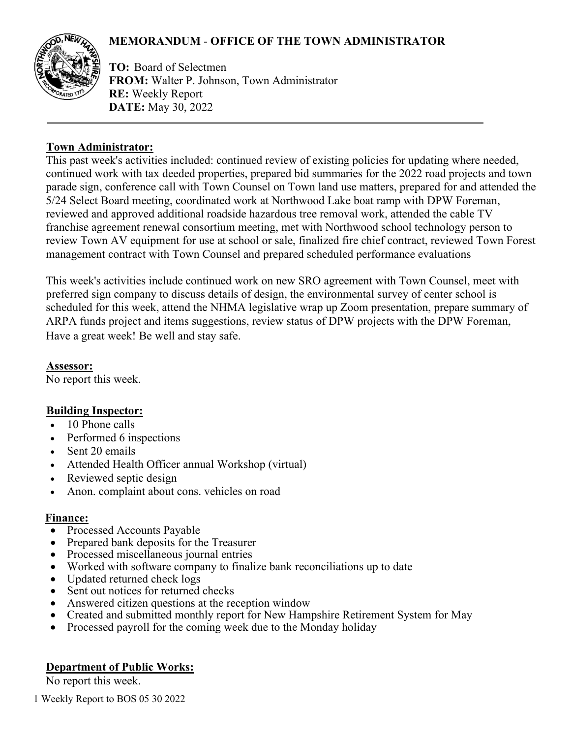# **MEMORANDUM** - **OFFICE OF THE TOWN ADMINISTRATOR**



**TO:** Board of Selectmen **FROM:** Walter P. Johnson, Town Administrator **RE:** Weekly Report **DATE:** May 30, 2022

## **Town Administrator:**

This past week's activities included: continued review of existing policies for updating where needed, continued work with tax deeded properties, prepared bid summaries for the 2022 road projects and town parade sign, conference call with Town Counsel on Town land use matters, prepared for and attended the 5/24 Select Board meeting, coordinated work at Northwood Lake boat ramp with DPW Foreman, reviewed and approved additional roadside hazardous tree removal work, attended the cable TV franchise agreement renewal consortium meeting, met with Northwood school technology person to review Town AV equipment for use at school or sale, finalized fire chief contract, reviewed Town Forest management contract with Town Counsel and prepared scheduled performance evaluations

This week's activities include continued work on new SRO agreement with Town Counsel, meet with preferred sign company to discuss details of design, the environmental survey of center school is scheduled for this week, attend the NHMA legislative wrap up Zoom presentation, prepare summary of ARPA funds project and items suggestions, review status of DPW projects with the DPW Foreman, Have a great week! Be well and stay safe.

### **Assessor:**

No report this week.

# **Building Inspector:**

- 10 Phone calls
- Performed 6 inspections
- Sent 20 emails
- Attended Health Officer annual Workshop (virtual)
- Reviewed septic design
- Anon. complaint about cons. vehicles on road

### **Finance:**

- Processed Accounts Payable
- Prepared bank deposits for the Treasurer
- Processed miscellaneous journal entries
- Worked with software company to finalize bank reconciliations up to date
- Updated returned check logs
- Sent out notices for returned checks
- Answered citizen questions at the reception window
- Created and submitted monthly report for New Hampshire Retirement System for May
- Processed payroll for the coming week due to the Monday holiday

# **Department of Public Works:**

No report this week.

1 Weekly Report to BOS 05 30 2022